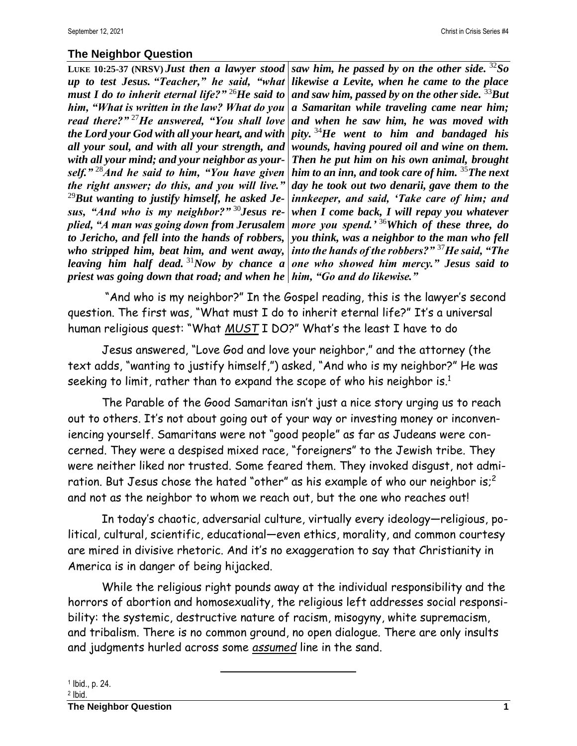## **The Neighbor Question**

**LUKE 10:25-37 (NRSV)** *Just then a lawyer stood up to test Jesus. "Teacher," he said, "what must I do to inherit eternal life?"* <sup>26</sup>*He said to him, "What is written in the law? What do you read there?"* <sup>27</sup>*He answered, "You shall love the Lord your God with all your heart, and with all your soul, and with all your strength, and with all your mind; and your neighbor as yourself."* <sup>28</sup>*And he said to him, "You have given the right answer; do this, and you will live."* <sup>29</sup>*But wanting to justify himself, he asked Jesus, "And who is my neighbor?"* <sup>30</sup>*Jesus replied, "A man was going down from Jerusalem to Jericho, and fell into the hands of robbers, who stripped him, beat him, and went away, leaving him half dead.* <sup>31</sup>*Now by chance a one who showed him mercy." Jesus said to priest was going down that road; and when he him, "Go and do likewise."*

*saw him, he passed by on the other side.* <sup>32</sup>*So likewise a Levite, when he came to the place and saw him, passed by on the other side.* <sup>33</sup>*But a Samaritan while traveling came near him; and when he saw him, he was moved with pity.* <sup>34</sup>*He went to him and bandaged his wounds, having poured oil and wine on them. Then he put him on his own animal, brought him to an inn, and took care of him.* <sup>35</sup>*The next day he took out two denarii, gave them to the innkeeper, and said, 'Take care of him; and when I come back, I will repay you whatever more you spend.'* <sup>36</sup>*Which of these three, do you think, was a neighbor to the man who fell into the hands of the robbers?"* <sup>37</sup>*He said, "The* 

"And who is my neighbor?" In the Gospel reading, this is the lawyer's second question. The first was, "What must I do to inherit eternal life?" It's a universal human religious quest: "What *MUST* I DO?" What's the least I have to do

Jesus answered, "Love God and love your neighbor," and the attorney (the text adds, "wanting to justify himself,") asked, "And who is my neighbor?" He was seeking to limit, rather than to expand the scope of who his neighbor is. $^{\rm 1}$ 

The Parable of the Good Samaritan isn't just a nice story urging us to reach out to others. It's not about going out of your way or investing money or inconveniencing yourself. Samaritans were not "good people" as far as Judeans were concerned. They were a despised mixed race, "foreigners" to the Jewish tribe. They were neither liked nor trusted. Some feared them. They invoked disgust, not admiration. But Jesus chose the hated "other" as his example of who our neighbor is; $^{\mathsf{2}}$ and not as the neighbor to whom we reach out, but the one who reaches out!

In today's chaotic, adversarial culture, virtually every ideology—religious, political, cultural, scientific, educational—even ethics, morality, and common courtesy are mired in divisive rhetoric. And it's no exaggeration to say that Christianity in America is in danger of being hijacked.

While the religious right pounds away at the individual responsibility and the horrors of abortion and homosexuality, the religious left addresses social responsibility: the systemic, destructive nature of racism, misogyny, white supremacism, and tribalism. There is no common ground, no open dialogue. There are only insults and judgments hurled across some *assumed* line in the sand.

<sup>1</sup> Ibid., p. 24.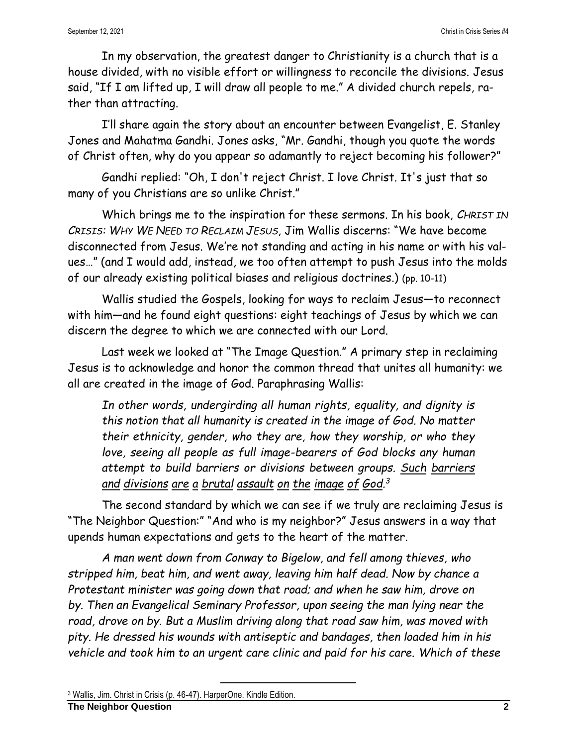In my observation, the greatest danger to Christianity is a church that is a house divided, with no visible effort or willingness to reconcile the divisions. Jesus said, "If I am lifted up, I will draw all people to me." A divided church repels, rather than attracting.

I'll share again the story about an encounter between Evangelist, E. Stanley Jones and Mahatma Gandhi. Jones asks, "Mr. Gandhi, though you quote the words of Christ often, why do you appear so adamantly to reject becoming his follower?"

Gandhi replied: "Oh, I don't reject Christ. I love Christ. It's just that so many of you Christians are so unlike Christ."

Which brings me to the inspiration for these sermons. In his book, *CHRIST IN CRISIS: WHY WE NEED TO RECLAIM JESUS*, Jim Wallis discerns: "We have become disconnected from Jesus. We're not standing and acting in his name or with his values…" (and I would add, instead, we too often attempt to push Jesus into the molds of our already existing political biases and religious doctrines.) (pp. 10-11)

Wallis studied the Gospels, looking for ways to reclaim Jesus—to reconnect with him—and he found eight questions: eight teachings of Jesus by which we can discern the degree to which we are connected with our Lord.

Last week we looked at "The Image Question." A primary step in reclaiming Jesus is to acknowledge and honor the common thread that unites all humanity: we all are created in the image of God. Paraphrasing Wallis:

*In other words, undergirding all human rights, equality, and dignity is this notion that all humanity is created in the image of God. No matter their ethnicity, gender, who they are, how they worship, or who they love, seeing all people as full image-bearers of God blocks any human attempt to build barriers or divisions between groups. Such barriers and divisions are a brutal assault on the image of God. 3*

The second standard by which we can see if we truly are reclaiming Jesus is "The Neighbor Question:" "And who is my neighbor?" Jesus answers in a way that upends human expectations and gets to the heart of the matter.

*A man went down from Conway to Bigelow, and fell among thieves, who stripped him, beat him, and went away, leaving him half dead. Now by chance a Protestant minister was going down that road; and when he saw him, drove on by. Then an Evangelical Seminary Professor, upon seeing the man lying near the road, drove on by. But a Muslim driving along that road saw him, was moved with pity. He dressed his wounds with antiseptic and bandages, then loaded him in his vehicle and took him to an urgent care clinic and paid for his care. Which of these* 

<sup>3</sup> Wallis, Jim. Christ in Crisis (p. 46-47). HarperOne. Kindle Edition.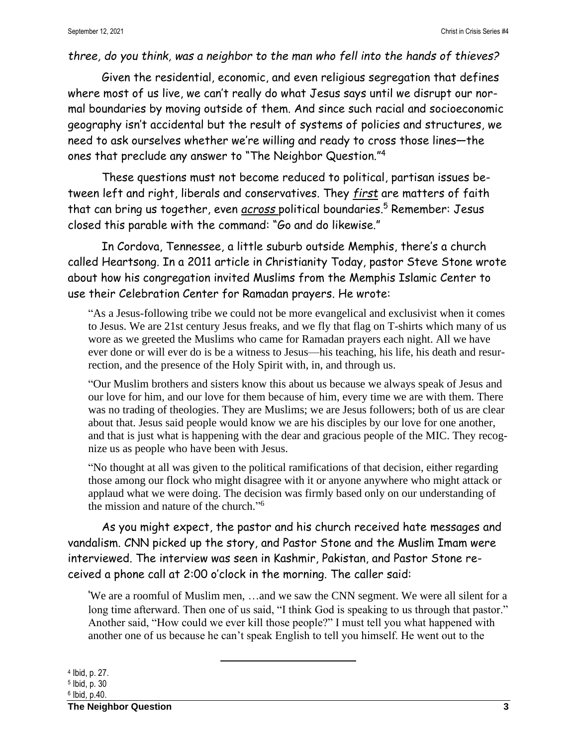## *three, do you think, was a neighbor to the man who fell into the hands of thieves?*

Given the residential, economic, and even religious segregation that defines where most of us live, we can't really do what Jesus says until we disrupt our normal boundaries by moving outside of them. And since such racial and socioeconomic geography isn't accidental but the result of systems of policies and structures, we need to ask ourselves whether we're willing and ready to cross those lines—the ones that preclude any answer to "The Neighbor Question."<sup>4</sup>

These questions must not become reduced to political, partisan issues between left and right, liberals and conservatives. They *first* are matters of faith that can bring us together, even *across* political boundaries.<sup>5</sup> Remember: Jesus closed this parable with the command: "Go and do likewise."

In Cordova, Tennessee, a little suburb outside Memphis, there's a church called Heartsong. In a 2011 article in Christianity Today, pastor Steve Stone wrote about how his congregation invited Muslims from the Memphis Islamic Center to use their Celebration Center for Ramadan prayers. He wrote:

"As a Jesus-following tribe we could not be more evangelical and exclusivist when it comes to Jesus. We are 21st century Jesus freaks, and we fly that flag on T-shirts which many of us wore as we greeted the Muslims who came for Ramadan prayers each night. All we have ever done or will ever do is be a witness to Jesus—his teaching, his life, his death and resurrection, and the presence of the Holy Spirit with, in, and through us.

"Our Muslim brothers and sisters know this about us because we always speak of Jesus and our love for him, and our love for them because of him, every time we are with them. There was no trading of theologies. They are Muslims; we are Jesus followers; both of us are clear about that. Jesus said people would know we are his disciples by our love for one another, and that is just what is happening with the dear and gracious people of the MIC. They recognize us as people who have been with Jesus.

"No thought at all was given to the political ramifications of that decision, either regarding those among our flock who might disagree with it or anyone anywhere who might attack or applaud what we were doing. The decision was firmly based only on our understanding of the mission and nature of the church." 6

As you might expect, the pastor and his church received hate messages and vandalism. CNN picked up the story, and Pastor Stone and the Muslim Imam were interviewed. The interview was seen in Kashmir, Pakistan, and Pastor Stone received a phone call at 2:00 o'clock in the morning. The caller said:

'We are a roomful of Muslim men, …and we saw the CNN segment. We were all silent for a long time afterward. Then one of us said, "I think God is speaking to us through that pastor." Another said, "How could we ever kill those people?" I must tell you what happened with another one of us because he can't speak English to tell you himself. He went out to the

<sup>4</sup> Ibid, p. 27.

<sup>5</sup> Ibid, p. 30

<sup>6</sup> Ibid, p.40.